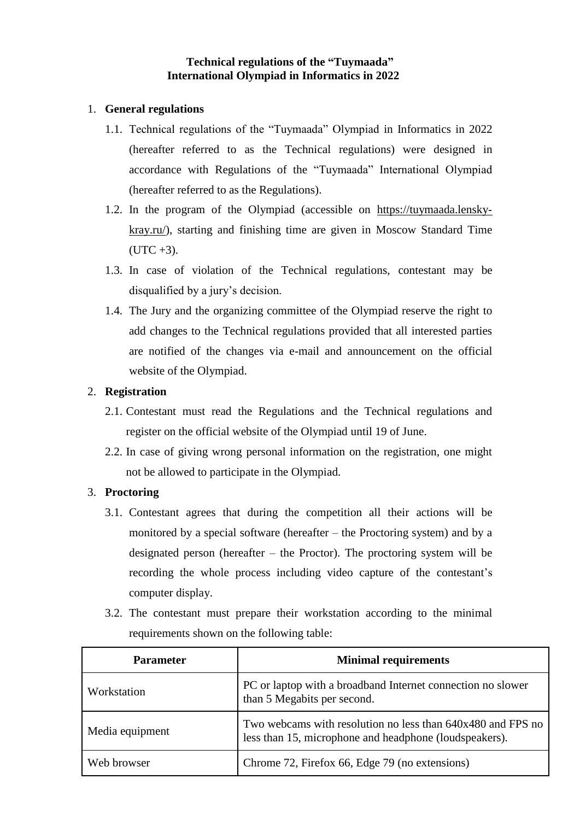### **Technical regulations of the "Tuymaada" International Olympiad in Informatics in 2022**

#### 1. **General regulations**

- 1.1. Technical regulations of the "Tuymaada" Olympiad in Informatics in 2022 (hereafter referred to as the Technical regulations) were designed in accordance with Regulations of the "Tuymaada" International Olympiad (hereafter referred to as the Regulations).
- 1.2. In the program of the Olympiad (accessible on [https://tuymaada.lensky](https://tuymaada.lensky-kray.ru/)[kray.ru/\)](https://tuymaada.lensky-kray.ru/), starting and finishing time are given in Moscow Standard Time  $(UTC + 3).$
- 1.3. In case of violation of the Technical regulations, contestant may be disqualified by a jury's decision.
- 1.4. The Jury and the organizing committee of the Olympiad reserve the right to add changes to the Technical regulations provided that all interested parties are notified of the changes via e-mail and announcement on the official website of the Olympiad.

### 2. **Registration**

- 2.1. Contestant must read the Regulations and the Technical regulations and register on the official website of the Olympiad until 19 of June.
- 2.2. In case of giving wrong personal information on the registration, one might not be allowed to participate in the Olympiad.

### 3. **Proctoring**

- 3.1. Contestant agrees that during the competition all their actions will be monitored by a special software (hereafter – the Proctoring system) and by a designated person (hereafter – the Proctor). The proctoring system will be recording the whole process including video capture of the contestant's computer display.
- 3.2. The contestant must prepare their workstation according to the minimal requirements shown on the following table:

| <b>Parameter</b> | <b>Minimal requirements</b>                                                                                           |
|------------------|-----------------------------------------------------------------------------------------------------------------------|
| Workstation      | PC or laptop with a broadband Internet connection no slower<br>than 5 Megabits per second.                            |
| Media equipment  | Two webcams with resolution no less than 640x480 and FPS no<br>less than 15, microphone and headphone (loudspeakers). |
| Web browser      | Chrome 72, Firefox 66, Edge 79 (no extensions)                                                                        |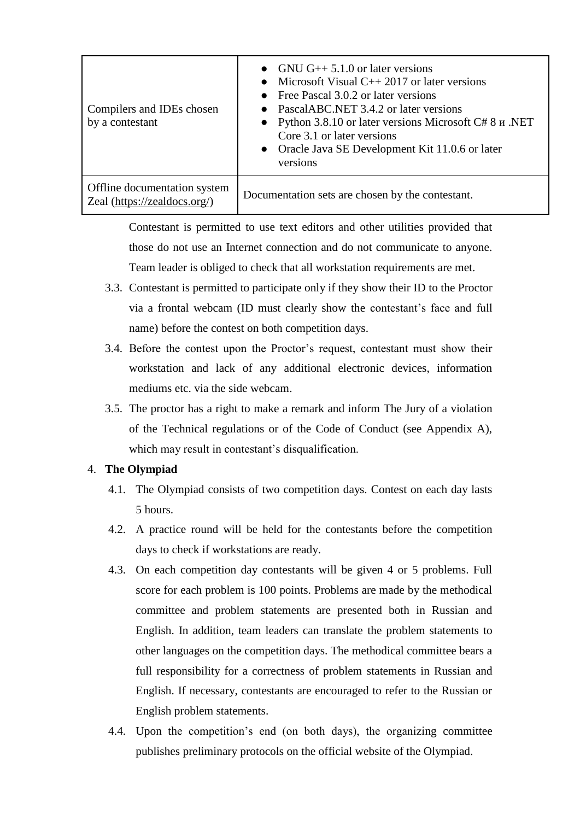| Compilers and IDEs chosen<br>by a contestant                 | • GNU G++ $5.1.0$ or later versions<br>Microsoft Visual $C_{++}$ 2017 or later versions<br>• Free Pascal $3.0.2$ or later versions<br>PascalABC.NET 3.4.2 or later versions<br>• Python 3.8.10 or later versions Microsoft $C \# 8 \text{ m}$ .NET<br>Core 3.1 or later versions<br>• Oracle Java SE Development Kit 11.0.6 or later<br>versions |
|--------------------------------------------------------------|--------------------------------------------------------------------------------------------------------------------------------------------------------------------------------------------------------------------------------------------------------------------------------------------------------------------------------------------------|
| Offline documentation system<br>Zeal (https://zealdocs.org/) | Documentation sets are chosen by the contestant.                                                                                                                                                                                                                                                                                                 |

Contestant is permitted to use text editors and other utilities provided that those do not use an Internet connection and do not communicate to anyone. Team leader is obliged to check that all workstation requirements are met.

- 3.3. Contestant is permitted to participate only if they show their ID to the Proctor via a frontal webcam (ID must clearly show the contestant's face and full name) before the contest on both competition days.
- 3.4. Before the contest upon the Proctor's request, contestant must show their workstation and lack of any additional electronic devices, information mediums etc. via the side webcam.
- 3.5. The proctor has a right to make a remark and inform The Jury of a violation of the Technical regulations or of the Code of Conduct (see Appendix A), which may result in contestant's disqualification.

### 4. **The Olympiad**

- 4.1. The Olympiad consists of two competition days. Contest on each day lasts 5 hours.
- 4.2. A practice round will be held for the contestants before the competition days to check if workstations are ready.
- 4.3. On each competition day contestants will be given 4 or 5 problems. Full score for each problem is 100 points. Problems are made by the methodical committee and problem statements are presented both in Russian and English. In addition, team leaders can translate the problem statements to other languages on the competition days. The methodical committee bears a full responsibility for a correctness of problem statements in Russian and English. If necessary, contestants are encouraged to refer to the Russian or English problem statements.
- 4.4. Upon the competition's end (on both days), the organizing committee publishes preliminary protocols on the official website of the Olympiad.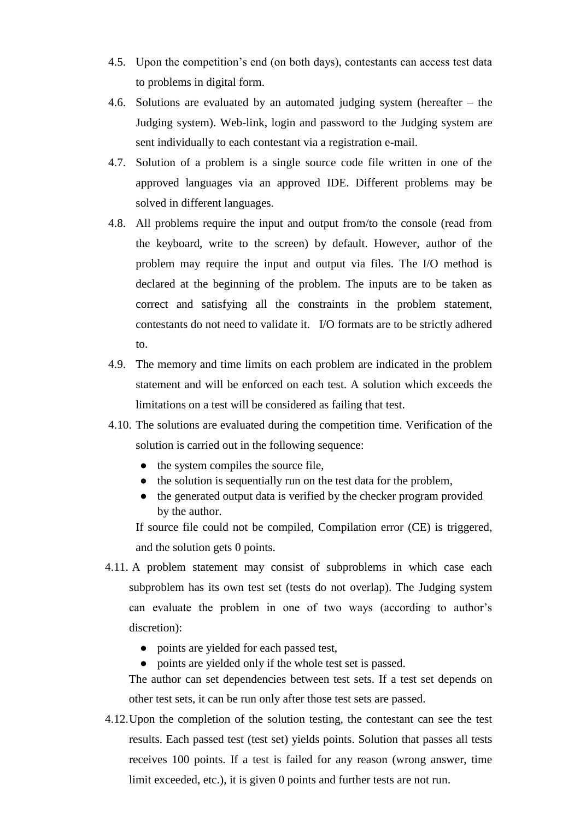- 4.5. Upon the competition's end (on both days), contestants can access test data to problems in digital form.
- 4.6. Solutions are evaluated by an automated judging system (hereafter the Judging system). Web-link, login and password to the Judging system are sent individually to each contestant via a registration e-mail.
- 4.7. Solution of a problem is a single source code file written in one of the approved languages via an approved IDE. Different problems may be solved in different languages.
- 4.8. All problems require the input and output from/to the console (read from the keyboard, write to the screen) by default. However, author of the problem may require the input and output via files. The I/O method is declared at the beginning of the problem. The inputs are to be taken as correct and satisfying all the constraints in the problem statement, contestants do not need to validate it. I/O formats are to be strictly adhered to.
- 4.9. The memory and time limits on each problem are indicated in the problem statement and will be enforced on each test. A solution which exceeds the limitations on a test will be considered as failing that test.
- 4.10. The solutions are evaluated during the competition time. Verification of the solution is carried out in the following sequence:
	- the system compiles the source file,
	- the solution is sequentially run on the test data for the problem,
	- the generated output data is verified by the checker program provided by the author.

If source file could not be compiled, Compilation error (CE) is triggered, and the solution gets 0 points.

- 4.11. A problem statement may consist of subproblems in which case each subproblem has its own test set (tests do not overlap). The Judging system can evaluate the problem in one of two ways (according to author's discretion):
	- points are yielded for each passed test,
	- points are yielded only if the whole test set is passed.

The author can set dependencies between test sets. If a test set depends on other test sets, it can be run only after those test sets are passed.

4.12.Upon the completion of the solution testing, the contestant can see the test results. Each passed test (test set) yields points. Solution that passes all tests receives 100 points. If a test is failed for any reason (wrong answer, time limit exceeded, etc.), it is given 0 points and further tests are not run.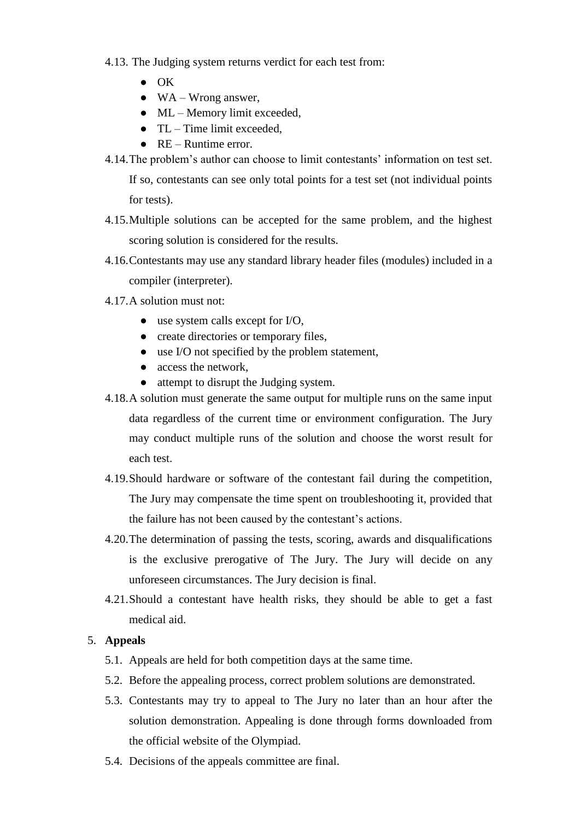- 4.13. The Judging system returns verdict for each test from:
	- OK
	- $\bullet$  WA Wrong answer,
	- $\bullet$  ML Memory limit exceeded,
	- $\bullet$  TL Time limit exceeded.
	- $\bullet$  RE Runtime error.
- 4.14.The problem's author can choose to limit contestants' information on test set.

If so, contestants can see only total points for a test set (not individual points for tests).

- 4.15.Multiple solutions can be accepted for the same problem, and the highest scoring solution is considered for the results.
- 4.16.Contestants may use any standard library header files (modules) included in a compiler (interpreter).
- 4.17.A solution must not:
	- $\bullet$  use system calls except for I/O,
	- create directories or temporary files,
	- use I/O not specified by the problem statement,
	- access the network,
	- attempt to disrupt the Judging system.
- 4.18.A solution must generate the same output for multiple runs on the same input data regardless of the current time or environment configuration. The Jury may conduct multiple runs of the solution and choose the worst result for each test.
- 4.19.Should hardware or software of the contestant fail during the competition, The Jury may compensate the time spent on troubleshooting it, provided that the failure has not been caused by the contestant's actions.
- 4.20.The determination of passing the tests, scoring, awards and disqualifications is the exclusive prerogative of The Jury. The Jury will decide on any unforeseen circumstances. The Jury decision is final.
- 4.21.Should a contestant have health risks, they should be able to get a fast medical aid.

### 5. **Appeals**

- 5.1. Appeals are held for both competition days at the same time.
- 5.2. Before the appealing process, correct problem solutions are demonstrated.
- 5.3. Contestants may try to appeal to The Jury no later than an hour after the solution demonstration. Appealing is done through forms downloaded from the official website of the Olympiad.
- 5.4. Decisions of the appeals committee are final.